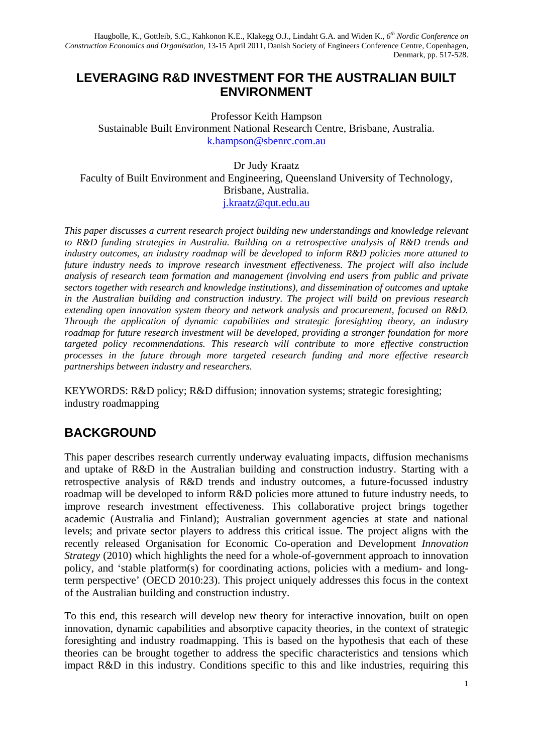Haugbolle, K., Gottleib, S.C., Kahkonon K.E., Klakegg O.J., Lindaht G.A. and Widen K., *6th Nordic Conference on Construction Economics and Organisation*, 13-15 April 2011, Danish Society of Engineers Conference Centre, Copenhagen, Denmark, pp. 517-528.

### **LEVERAGING R&D INVESTMENT FOR THE AUSTRALIAN BUILT ENVIRONMENT**

Professor Keith Hampson Sustainable Built Environment National Research Centre, Brisbane, Australia. k.hampson@sbenrc.com.au

Dr Judy Kraatz Faculty of Built Environment and Engineering, Queensland University of Technology, Brisbane, Australia. j.kraatz@qut.edu.au

*This paper discusses a current research project building new understandings and knowledge relevant to R&D funding strategies in Australia. Building on a retrospective analysis of R&D trends and industry outcomes, an industry roadmap will be developed to inform R&D policies more attuned to future industry needs to improve research investment effectiveness. The project will also include analysis of research team formation and management (involving end users from public and private sectors together with research and knowledge institutions), and dissemination of outcomes and uptake in the Australian building and construction industry. The project will build on previous research extending open innovation system theory and network analysis and procurement, focused on R&D. Through the application of dynamic capabilities and strategic foresighting theory, an industry roadmap for future research investment will be developed, providing a stronger foundation for more targeted policy recommendations. This research will contribute to more effective construction processes in the future through more targeted research funding and more effective research partnerships between industry and researchers.* 

KEYWORDS: R&D policy; R&D diffusion; innovation systems; strategic foresighting; industry roadmapping

### **BACKGROUND**

This paper describes research currently underway evaluating impacts, diffusion mechanisms and uptake of R&D in the Australian building and construction industry. Starting with a retrospective analysis of R&D trends and industry outcomes, a future-focussed industry roadmap will be developed to inform R&D policies more attuned to future industry needs, to improve research investment effectiveness. This collaborative project brings together academic (Australia and Finland); Australian government agencies at state and national levels; and private sector players to address this critical issue. The project aligns with the recently released Organisation for Economic Co-operation and Development *Innovation Strategy* (2010) which highlights the need for a whole-of-government approach to innovation policy, and 'stable platform(s) for coordinating actions, policies with a medium- and longterm perspective' (OECD 2010:23). This project uniquely addresses this focus in the context of the Australian building and construction industry.

To this end, this research will develop new theory for interactive innovation, built on open innovation, dynamic capabilities and absorptive capacity theories, in the context of strategic foresighting and industry roadmapping. This is based on the hypothesis that each of these theories can be brought together to address the specific characteristics and tensions which impact R&D in this industry. Conditions specific to this and like industries, requiring this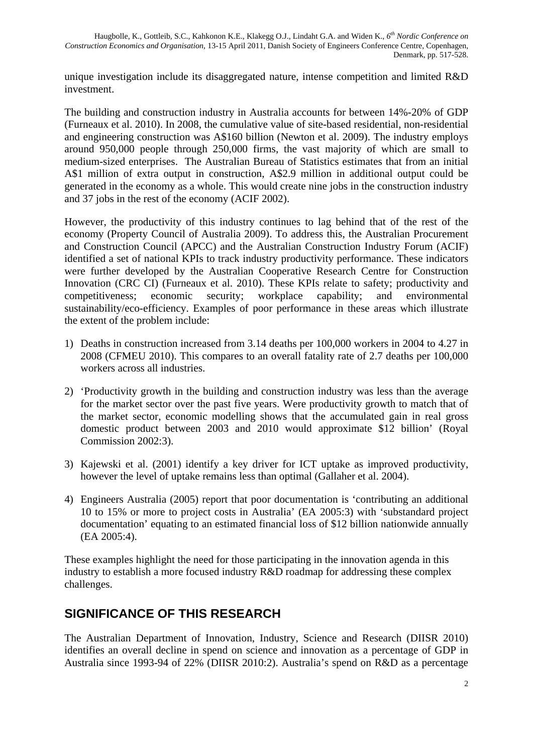unique investigation include its disaggregated nature, intense competition and limited R&D investment.

The building and construction industry in Australia accounts for between 14%-20% of GDP (Furneaux et al. 2010). In 2008, the cumulative value of site-based residential, non-residential and engineering construction was A\$160 billion (Newton et al. 2009). The industry employs around 950,000 people through 250,000 firms, the vast majority of which are small to medium-sized enterprises. The Australian Bureau of Statistics estimates that from an initial A\$1 million of extra output in construction, A\$2.9 million in additional output could be generated in the economy as a whole. This would create nine jobs in the construction industry and 37 jobs in the rest of the economy (ACIF 2002).

However, the productivity of this industry continues to lag behind that of the rest of the economy (Property Council of Australia 2009). To address this, the Australian Procurement and Construction Council (APCC) and the Australian Construction Industry Forum (ACIF) identified a set of national KPIs to track industry productivity performance. These indicators were further developed by the Australian Cooperative Research Centre for Construction Innovation (CRC CI) (Furneaux et al. 2010). These KPIs relate to safety; productivity and competitiveness; economic security; workplace capability; and environmental sustainability/eco-efficiency. Examples of poor performance in these areas which illustrate the extent of the problem include:

- 1) Deaths in construction increased from 3.14 deaths per 100,000 workers in 2004 to 4.27 in 2008 (CFMEU 2010). This compares to an overall fatality rate of 2.7 deaths per 100,000 workers across all industries.
- 2) 'Productivity growth in the building and construction industry was less than the average for the market sector over the past five years. Were productivity growth to match that of the market sector, economic modelling shows that the accumulated gain in real gross domestic product between 2003 and 2010 would approximate \$12 billion' (Royal Commission 2002:3).
- 3) Kajewski et al. (2001) identify a key driver for ICT uptake as improved productivity, however the level of uptake remains less than optimal (Gallaher et al. 2004).
- 4) Engineers Australia (2005) report that poor documentation is 'contributing an additional 10 to 15% or more to project costs in Australia' (EA 2005:3) with 'substandard project documentation' equating to an estimated financial loss of \$12 billion nationwide annually (EA 2005:4).

These examples highlight the need for those participating in the innovation agenda in this industry to establish a more focused industry R&D roadmap for addressing these complex challenges.

# **SIGNIFICANCE OF THIS RESEARCH**

The Australian Department of Innovation, Industry, Science and Research (DIISR 2010) identifies an overall decline in spend on science and innovation as a percentage of GDP in Australia since 1993-94 of 22% (DIISR 2010:2). Australia's spend on R&D as a percentage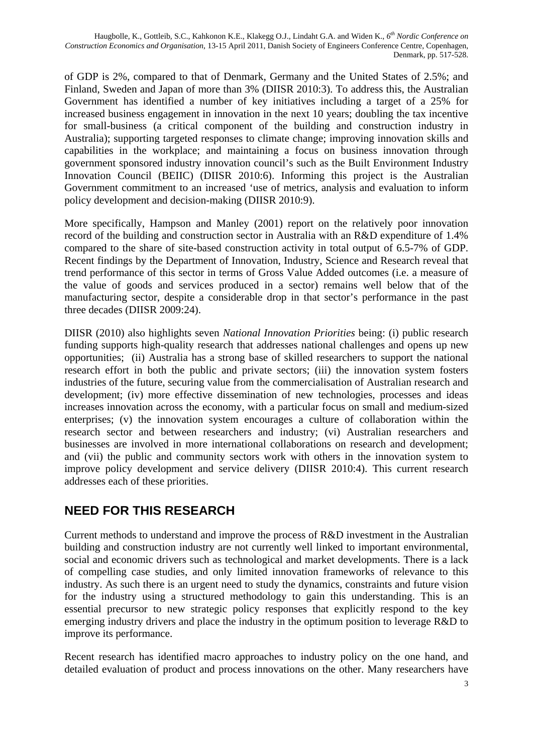of GDP is 2%, compared to that of Denmark, Germany and the United States of 2.5%; and Finland, Sweden and Japan of more than 3% (DIISR 2010:3). To address this, the Australian Government has identified a number of key initiatives including a target of a 25% for increased business engagement in innovation in the next 10 years; doubling the tax incentive for small-business (a critical component of the building and construction industry in Australia); supporting targeted responses to climate change; improving innovation skills and capabilities in the workplace; and maintaining a focus on business innovation through government sponsored industry innovation council's such as the Built Environment Industry Innovation Council (BEIIC) (DIISR 2010:6). Informing this project is the Australian Government commitment to an increased 'use of metrics, analysis and evaluation to inform policy development and decision-making (DIISR 2010:9).

More specifically, Hampson and Manley (2001) report on the relatively poor innovation record of the building and construction sector in Australia with an R&D expenditure of 1.4% compared to the share of site-based construction activity in total output of 6.5-7% of GDP. Recent findings by the Department of Innovation, Industry, Science and Research reveal that trend performance of this sector in terms of Gross Value Added outcomes (i.e. a measure of the value of goods and services produced in a sector) remains well below that of the manufacturing sector, despite a considerable drop in that sector's performance in the past three decades (DIISR 2009:24).

DIISR (2010) also highlights seven *National Innovation Priorities* being: (i) public research funding supports high-quality research that addresses national challenges and opens up new opportunities; (ii) Australia has a strong base of skilled researchers to support the national research effort in both the public and private sectors; (iii) the innovation system fosters industries of the future, securing value from the commercialisation of Australian research and development; (iv) more effective dissemination of new technologies, processes and ideas increases innovation across the economy, with a particular focus on small and medium-sized enterprises; (v) the innovation system encourages a culture of collaboration within the research sector and between researchers and industry; (vi) Australian researchers and businesses are involved in more international collaborations on research and development; and (vii) the public and community sectors work with others in the innovation system to improve policy development and service delivery (DIISR 2010:4). This current research addresses each of these priorities.

# **NEED FOR THIS RESEARCH**

Current methods to understand and improve the process of R&D investment in the Australian building and construction industry are not currently well linked to important environmental, social and economic drivers such as technological and market developments. There is a lack of compelling case studies, and only limited innovation frameworks of relevance to this industry. As such there is an urgent need to study the dynamics, constraints and future vision for the industry using a structured methodology to gain this understanding. This is an essential precursor to new strategic policy responses that explicitly respond to the key emerging industry drivers and place the industry in the optimum position to leverage R&D to improve its performance.

Recent research has identified macro approaches to industry policy on the one hand, and detailed evaluation of product and process innovations on the other. Many researchers have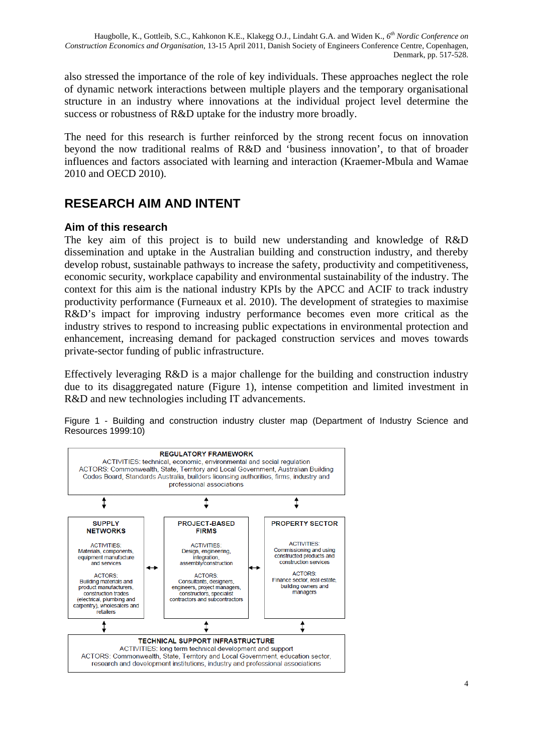also stressed the importance of the role of key individuals. These approaches neglect the role of dynamic network interactions between multiple players and the temporary organisational structure in an industry where innovations at the individual project level determine the success or robustness of R&D uptake for the industry more broadly.

The need for this research is further reinforced by the strong recent focus on innovation beyond the now traditional realms of R&D and 'business innovation', to that of broader influences and factors associated with learning and interaction (Kraemer-Mbula and Wamae 2010 and OECD 2010).

# **RESEARCH AIM AND INTENT**

### **Aim of this research**

The key aim of this project is to build new understanding and knowledge of R&D dissemination and uptake in the Australian building and construction industry, and thereby develop robust, sustainable pathways to increase the safety, productivity and competitiveness, economic security, workplace capability and environmental sustainability of the industry. The context for this aim is the national industry KPIs by the APCC and ACIF to track industry productivity performance (Furneaux et al. 2010). The development of strategies to maximise R&D's impact for improving industry performance becomes even more critical as the industry strives to respond to increasing public expectations in environmental protection and enhancement, increasing demand for packaged construction services and moves towards private-sector funding of public infrastructure.

Effectively leveraging R&D is a major challenge for the building and construction industry due to its disaggregated nature (Figure 1), intense competition and limited investment in R&D and new technologies including IT advancements.

Figure 1 - Building and construction industry cluster map (Department of Industry Science and Resources 1999:10)

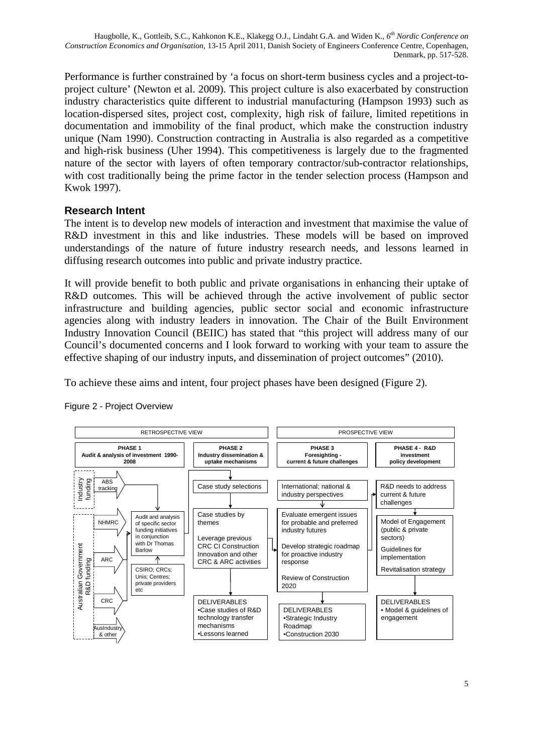Performance is further constrained by 'a focus on short-term business cycles and a project-toproject culture' (Newton et al. 2009). This project culture is also exacerbated by construction industry characteristics quite different to industrial manufacturing (Hampson 1993) such as location-dispersed sites, project cost, complexity, high risk of failure, limited repetitions in documentation and immobility of the final product, which make the construction industry unique (Nam 1990). Construction contracting in Australia is also regarded as a competitive and high-risk business (Uher 1994). This competitiveness is largely due to the fragmented nature of the sector with layers of often temporary contractor/sub-contractor relationships, with cost traditionally being the prime factor in the tender selection process (Hampson and Kwok 1997).

### **Research Intent**

The intent is to develop new models of interaction and investment that maximise the value of R&D investment in this and like industries. These models will be based on improved understandings of the nature of future industry research needs, and lessons learned in diffusing research outcomes into public and private industry practice.

It will provide benefit to both public and private organisations in enhancing their uptake of R&D outcomes. This will be achieved through the active involvement of public sector infrastructure and building agencies, public sector social and economic infrastructure agencies along with industry leaders in innovation. The Chair of the Built Environment Industry Innovation Council (BEIIC) has stated that "this project will address many of our Council's documented concerns and I look forward to working with your team to assure the effective shaping of our industry inputs, and dissemination of project outcomes" (2010).

To achieve these aims and intent, four project phases have been designed (Figure 2).



#### Figure 2 - Project Overview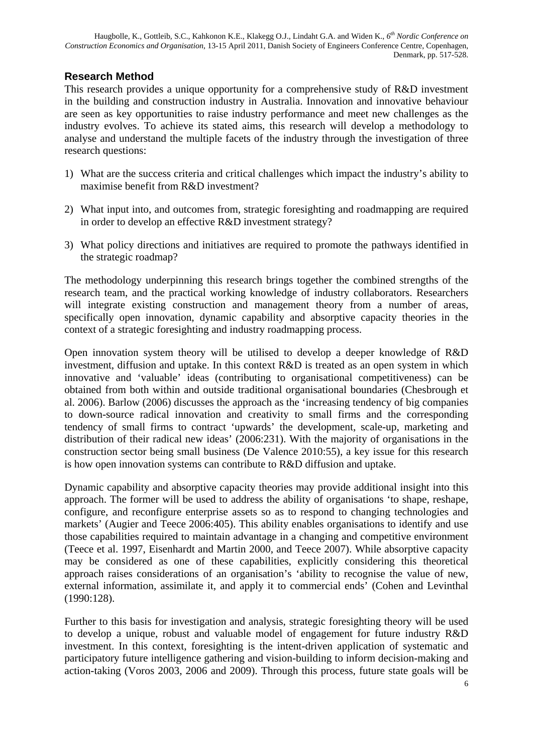### **Research Method**

This research provides a unique opportunity for a comprehensive study of R&D investment in the building and construction industry in Australia. Innovation and innovative behaviour are seen as key opportunities to raise industry performance and meet new challenges as the industry evolves. To achieve its stated aims, this research will develop a methodology to analyse and understand the multiple facets of the industry through the investigation of three research questions:

- 1) What are the success criteria and critical challenges which impact the industry's ability to maximise benefit from R&D investment?
- 2) What input into, and outcomes from, strategic foresighting and roadmapping are required in order to develop an effective R&D investment strategy?
- 3) What policy directions and initiatives are required to promote the pathways identified in the strategic roadmap?

The methodology underpinning this research brings together the combined strengths of the research team, and the practical working knowledge of industry collaborators. Researchers will integrate existing construction and management theory from a number of areas, specifically open innovation, dynamic capability and absorptive capacity theories in the context of a strategic foresighting and industry roadmapping process.

Open innovation system theory will be utilised to develop a deeper knowledge of R&D investment, diffusion and uptake. In this context R&D is treated as an open system in which innovative and 'valuable' ideas (contributing to organisational competitiveness) can be obtained from both within and outside traditional organisational boundaries (Chesbrough et al. 2006). Barlow (2006) discusses the approach as the 'increasing tendency of big companies to down-source radical innovation and creativity to small firms and the corresponding tendency of small firms to contract 'upwards' the development, scale-up, marketing and distribution of their radical new ideas' (2006:231). With the majority of organisations in the construction sector being small business (De Valence 2010:55), a key issue for this research is how open innovation systems can contribute to R&D diffusion and uptake.

Dynamic capability and absorptive capacity theories may provide additional insight into this approach. The former will be used to address the ability of organisations 'to shape, reshape, configure, and reconfigure enterprise assets so as to respond to changing technologies and markets' (Augier and Teece 2006:405). This ability enables organisations to identify and use those capabilities required to maintain advantage in a changing and competitive environment (Teece et al. 1997, Eisenhardt and Martin 2000, and Teece 2007). While absorptive capacity may be considered as one of these capabilities, explicitly considering this theoretical approach raises considerations of an organisation's 'ability to recognise the value of new, external information, assimilate it, and apply it to commercial ends' (Cohen and Levinthal (1990:128).

Further to this basis for investigation and analysis, strategic foresighting theory will be used to develop a unique, robust and valuable model of engagement for future industry R&D investment. In this context, foresighting is the intent-driven application of systematic and participatory future intelligence gathering and vision-building to inform decision-making and action-taking (Voros 2003, 2006 and 2009). Through this process, future state goals will be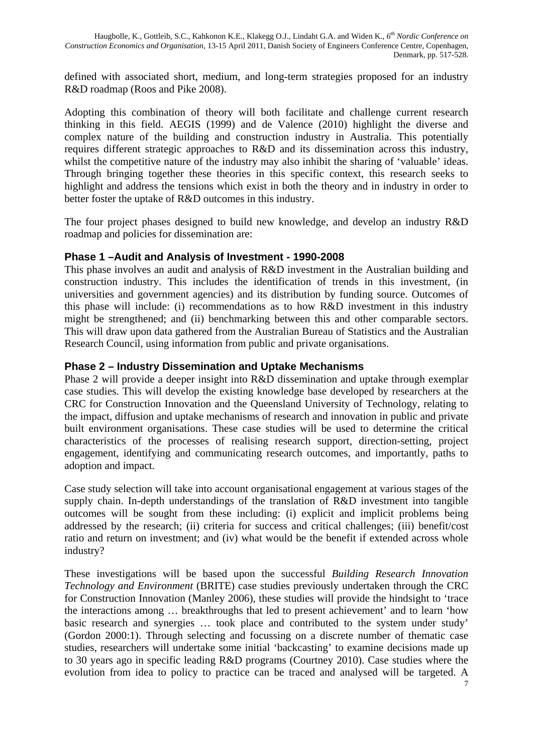defined with associated short, medium, and long-term strategies proposed for an industry R&D roadmap (Roos and Pike 2008).

Adopting this combination of theory will both facilitate and challenge current research thinking in this field. AEGIS (1999) and de Valence (2010) highlight the diverse and complex nature of the building and construction industry in Australia. This potentially requires different strategic approaches to R&D and its dissemination across this industry, whilst the competitive nature of the industry may also inhibit the sharing of 'valuable' ideas. Through bringing together these theories in this specific context, this research seeks to highlight and address the tensions which exist in both the theory and in industry in order to better foster the uptake of R&D outcomes in this industry.

The four project phases designed to build new knowledge, and develop an industry R&D roadmap and policies for dissemination are:

#### **Phase 1 –Audit and Analysis of Investment - 1990-2008**

This phase involves an audit and analysis of R&D investment in the Australian building and construction industry. This includes the identification of trends in this investment, (in universities and government agencies) and its distribution by funding source. Outcomes of this phase will include: (i) recommendations as to how R&D investment in this industry might be strengthened; and (ii) benchmarking between this and other comparable sectors. This will draw upon data gathered from the Australian Bureau of Statistics and the Australian Research Council, using information from public and private organisations.

#### **Phase 2 – Industry Dissemination and Uptake Mechanisms**

Phase 2 will provide a deeper insight into R&D dissemination and uptake through exemplar case studies. This will develop the existing knowledge base developed by researchers at the CRC for Construction Innovation and the Queensland University of Technology, relating to the impact, diffusion and uptake mechanisms of research and innovation in public and private built environment organisations. These case studies will be used to determine the critical characteristics of the processes of realising research support, direction-setting, project engagement, identifying and communicating research outcomes, and importantly, paths to adoption and impact.

Case study selection will take into account organisational engagement at various stages of the supply chain. In-depth understandings of the translation of R&D investment into tangible outcomes will be sought from these including: (i) explicit and implicit problems being addressed by the research; (ii) criteria for success and critical challenges; (iii) benefit/cost ratio and return on investment; and (iv) what would be the benefit if extended across whole industry?

These investigations will be based upon the successful *Building Research Innovation Technology and Environment* (BRITE) case studies previously undertaken through the CRC for Construction Innovation (Manley 2006), these studies will provide the hindsight to 'trace the interactions among … breakthroughs that led to present achievement' and to learn 'how basic research and synergies … took place and contributed to the system under study' (Gordon 2000:1). Through selecting and focussing on a discrete number of thematic case studies, researchers will undertake some initial 'backcasting' to examine decisions made up to 30 years ago in specific leading R&D programs (Courtney 2010). Case studies where the evolution from idea to policy to practice can be traced and analysed will be targeted. A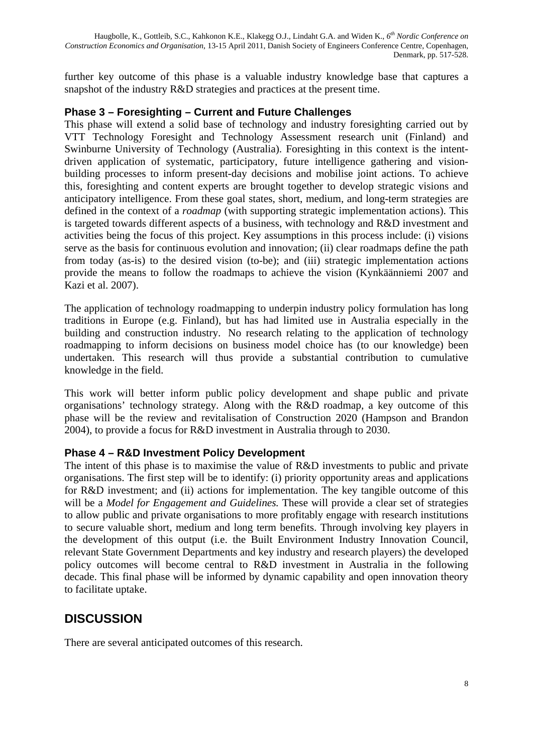further key outcome of this phase is a valuable industry knowledge base that captures a snapshot of the industry R&D strategies and practices at the present time.

#### **Phase 3 – Foresighting – Current and Future Challenges**

This phase will extend a solid base of technology and industry foresighting carried out by VTT Technology Foresight and Technology Assessment research unit (Finland) and Swinburne University of Technology (Australia). Foresighting in this context is the intentdriven application of systematic, participatory, future intelligence gathering and visionbuilding processes to inform present-day decisions and mobilise joint actions. To achieve this, foresighting and content experts are brought together to develop strategic visions and anticipatory intelligence. From these goal states, short, medium, and long-term strategies are defined in the context of a *roadmap* (with supporting strategic implementation actions). This is targeted towards different aspects of a business, with technology and R&D investment and activities being the focus of this project. Key assumptions in this process include: (i) visions serve as the basis for continuous evolution and innovation; (ii) clear roadmaps define the path from today (as-is) to the desired vision (to-be); and (iii) strategic implementation actions provide the means to follow the roadmaps to achieve the vision (Kynkäänniemi 2007 and Kazi et al. 2007).

The application of technology roadmapping to underpin industry policy formulation has long traditions in Europe (e.g. Finland), but has had limited use in Australia especially in the building and construction industry. No research relating to the application of technology roadmapping to inform decisions on business model choice has (to our knowledge) been undertaken. This research will thus provide a substantial contribution to cumulative knowledge in the field.

This work will better inform public policy development and shape public and private organisations' technology strategy. Along with the R&D roadmap, a key outcome of this phase will be the review and revitalisation of Construction 2020 (Hampson and Brandon 2004), to provide a focus for R&D investment in Australia through to 2030.

#### **Phase 4 – R&D Investment Policy Development**

The intent of this phase is to maximise the value of R&D investments to public and private organisations. The first step will be to identify: (i) priority opportunity areas and applications for R&D investment; and (ii) actions for implementation. The key tangible outcome of this will be a *Model for Engagement and Guidelines.* These will provide a clear set of strategies to allow public and private organisations to more profitably engage with research institutions to secure valuable short, medium and long term benefits. Through involving key players in the development of this output (i.e. the Built Environment Industry Innovation Council, relevant State Government Departments and key industry and research players) the developed policy outcomes will become central to R&D investment in Australia in the following decade. This final phase will be informed by dynamic capability and open innovation theory to facilitate uptake.

# **DISCUSSION**

There are several anticipated outcomes of this research.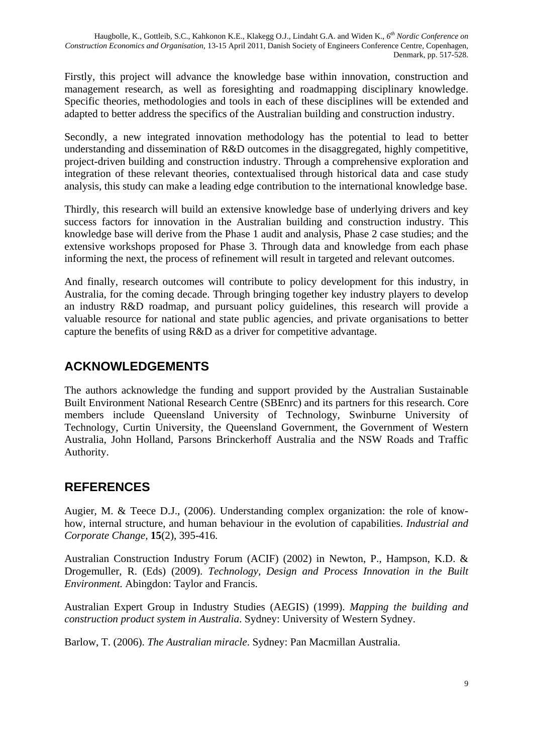Firstly, this project will advance the knowledge base within innovation, construction and management research, as well as foresighting and roadmapping disciplinary knowledge. Specific theories, methodologies and tools in each of these disciplines will be extended and adapted to better address the specifics of the Australian building and construction industry.

Secondly, a new integrated innovation methodology has the potential to lead to better understanding and dissemination of R&D outcomes in the disaggregated, highly competitive, project-driven building and construction industry. Through a comprehensive exploration and integration of these relevant theories, contextualised through historical data and case study analysis, this study can make a leading edge contribution to the international knowledge base.

Thirdly, this research will build an extensive knowledge base of underlying drivers and key success factors for innovation in the Australian building and construction industry. This knowledge base will derive from the Phase 1 audit and analysis, Phase 2 case studies; and the extensive workshops proposed for Phase 3. Through data and knowledge from each phase informing the next, the process of refinement will result in targeted and relevant outcomes.

And finally, research outcomes will contribute to policy development for this industry, in Australia, for the coming decade. Through bringing together key industry players to develop an industry R&D roadmap, and pursuant policy guidelines, this research will provide a valuable resource for national and state public agencies, and private organisations to better capture the benefits of using R&D as a driver for competitive advantage.

# **ACKNOWLEDGEMENTS**

The authors acknowledge the funding and support provided by the Australian Sustainable Built Environment National Research Centre (SBEnrc) and its partners for this research. Core members include Queensland University of Technology, Swinburne University of Technology, Curtin University, the Queensland Government, the Government of Western Australia, John Holland, Parsons Brinckerhoff Australia and the NSW Roads and Traffic Authority.

# **REFERENCES**

Augier, M. & Teece D.J., (2006). Understanding complex organization: the role of knowhow, internal structure, and human behaviour in the evolution of capabilities. *Industrial and Corporate Change,* **15**(2), 395-416.

Australian Construction Industry Forum (ACIF) (2002) in Newton, P., Hampson, K.D. & Drogemuller, R. (Eds) (2009). *Technology, Design and Process Innovation in the Built Environment.* Abingdon: Taylor and Francis.

Australian Expert Group in Industry Studies (AEGIS) (1999). *Mapping the building and construction product system in Australia*. Sydney: University of Western Sydney.

Barlow, T. (2006). *The Australian miracle*. Sydney: Pan Macmillan Australia.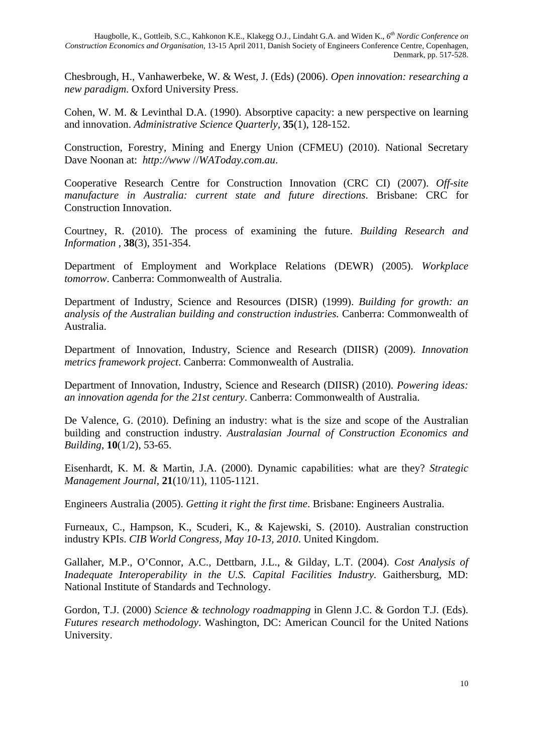Chesbrough, H., Vanhawerbeke, W. & West, J. (Eds) (2006). *Open innovation: researching a new paradigm*. Oxford University Press.

Cohen, W. M. & Levinthal D.A. (1990). Absorptive capacity: a new perspective on learning and innovation. *Administrative Science Quarterly,* **35**(1), 128-152.

Construction, Forestry, Mining and Energy Union (CFMEU) (2010). National Secretary Dave Noonan at: *http://www* //*WAToday.com.au*.

Cooperative Research Centre for Construction Innovation (CRC CI) (2007). *Off-site manufacture in Australia: current state and future directions*. Brisbane: CRC for Construction Innovation.

Courtney, R. (2010). The process of examining the future. *Building Research and Information* , **38**(3), 351-354.

Department of Employment and Workplace Relations (DEWR) (2005). *Workplace tomorrow*. Canberra: Commonwealth of Australia.

Department of Industry, Science and Resources (DISR) (1999). *Building for growth: an analysis of the Australian building and construction industries.* Canberra: Commonwealth of Australia.

Department of Innovation, Industry, Science and Research (DIISR) (2009). *Innovation metrics framework project*. Canberra: Commonwealth of Australia.

Department of Innovation, Industry, Science and Research (DIISR) (2010). *Powering ideas: an innovation agenda for the 21st century*. Canberra: Commonwealth of Australia.

De Valence, G. (2010). Defining an industry: what is the size and scope of the Australian building and construction industry. *Australasian Journal of Construction Economics and Building*, **10**(1/2), 53-65.

Eisenhardt, K. M. & Martin, J.A. (2000). Dynamic capabilities: what are they? *Strategic Management Journal*, **21**(10/11), 1105-1121.

Engineers Australia (2005). *Getting it right the first time*. Brisbane: Engineers Australia.

Furneaux, C., Hampson, K., Scuderi, K., & Kajewski, S. (2010). Australian construction industry KPIs. *CIB World Congress, May 10-13, 2010*. United Kingdom.

Gallaher, M.P., O'Connor, A.C., Dettbarn, J.L., & Gilday, L.T. (2004). *Cost Analysis of Inadequate Interoperability in the U.S. Capital Facilities Industry. Gaithersburg, MD:* National Institute of Standards and Technology.

Gordon, T.J. (2000) *Science & technology roadmapping* in Glenn J.C. & Gordon T.J. (Eds). *Futures research methodology*. Washington, DC: American Council for the United Nations University.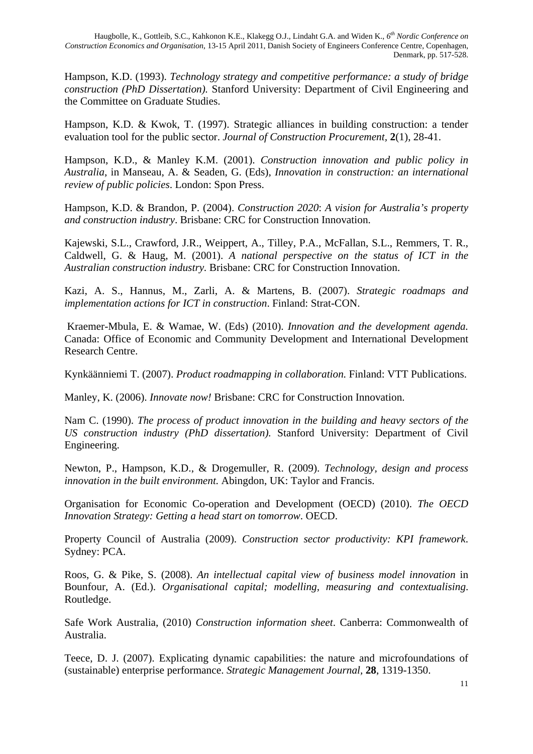Hampson, K.D. (1993). *Technology strategy and competitive performance: a study of bridge construction (PhD Dissertation).* Stanford University: Department of Civil Engineering and the Committee on Graduate Studies.

Hampson, K.D. & Kwok, T. (1997). Strategic alliances in building construction: a tender evaluation tool for the public sector. *Journal of Construction Procurement,* **2**(1), 28-41.

Hampson, K.D., & Manley K.M. (2001). *Construction innovation and public policy in Australia*, in Manseau, A. & Seaden, G. (Eds), *Innovation in construction: an international review of public policies*. London: Spon Press.

Hampson, K.D. & Brandon, P. (2004). *Construction 2020*: *A vision for Australia's property and construction industry*. Brisbane: CRC for Construction Innovation.

Kajewski, S.L., Crawford, J.R., Weippert, A., Tilley, P.A., McFallan, S.L., Remmers, T. R., Caldwell, G. & Haug, M. (2001). *A national perspective on the status of ICT in the Australian construction industry.* Brisbane: CRC for Construction Innovation.

Kazi, A. S., Hannus, M., Zarli, A. & Martens, B. (2007). *Strategic roadmaps and implementation actions for ICT in construction*. Finland: Strat-CON.

 Kraemer-Mbula, E. & Wamae, W. (Eds) (2010). *Innovation and the development agenda.* Canada: Office of Economic and Community Development and International Development Research Centre.

Kynkäänniemi T. (2007). *Product roadmapping in collaboration.* Finland: VTT Publications.

Manley, K. (2006). *Innovate now!* Brisbane: CRC for Construction Innovation.

Nam C. (1990). *The process of product innovation in the building and heavy sectors of the US construction industry (PhD dissertation).* Stanford University: Department of Civil Engineering.

Newton, P., Hampson, K.D., & Drogemuller, R. (2009). *Technology, design and process innovation in the built environment.* Abingdon, UK: Taylor and Francis.

Organisation for Economic Co-operation and Development (OECD) (2010). *The OECD Innovation Strategy: Getting a head start on tomorrow*. OECD.

Property Council of Australia (2009). *Construction sector productivity: KPI framework*. Sydney: PCA.

Roos, G. & Pike, S. (2008). *An intellectual capital view of business model innovation* in Bounfour, A. (Ed.). *Organisational capital; modelling, measuring and contextualising*. Routledge.

Safe Work Australia, (2010) *Construction information sheet*. Canberra: Commonwealth of Australia.

Teece, D. J. (2007). Explicating dynamic capabilities: the nature and microfoundations of (sustainable) enterprise performance. *Strategic Management Journal,* **28**, 1319-1350.